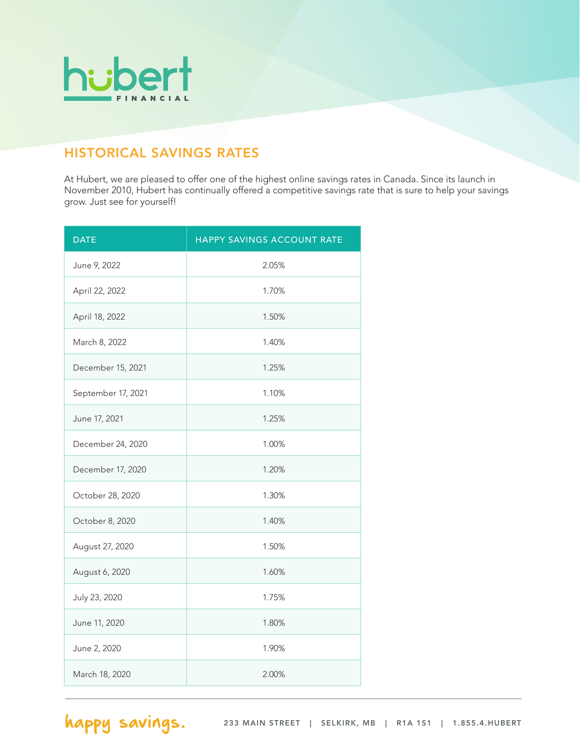

## HISTORICAL SAVINGS RATES

At Hubert, we are pleased to offer one of the highest online savings rates in Canada. Since its launch in November 2010, Hubert has continually offered a competitive savings rate that is sure to help your savings grow. Just see for yourself!

| <b>DATE</b>        | HAPPY SAVINGS ACCOUNT RATE |
|--------------------|----------------------------|
| June 9, 2022       | 2.05%                      |
| April 22, 2022     | 1.70%                      |
| April 18, 2022     | 1.50%                      |
| March 8, 2022      | 1.40%                      |
| December 15, 2021  | 1.25%                      |
| September 17, 2021 | 1.10%                      |
| June 17, 2021      | 1.25%                      |
| December 24, 2020  | 1.00%                      |
| December 17, 2020  | 1.20%                      |
| October 28, 2020   | 1.30%                      |
| October 8, 2020    | 1.40%                      |
| August 27, 2020    | 1.50%                      |
| August 6, 2020     | 1.60%                      |
| July 23, 2020      | 1.75%                      |
| June 11, 2020      | 1.80%                      |
| June 2, 2020       | 1.90%                      |
| March 18, 2020     | 2.00%                      |

happy savings.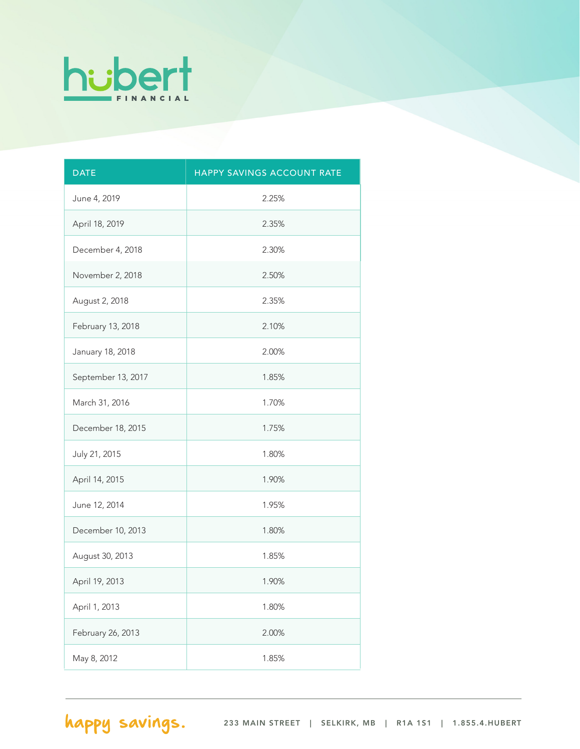

| <b>DATE</b>        | HAPPY SAVINGS ACCOUNT RATE |
|--------------------|----------------------------|
| June 4, 2019       | 2.25%                      |
| April 18, 2019     | 2.35%                      |
| December 4, 2018   | 2.30%                      |
| November 2, 2018   | 2.50%                      |
| August 2, 2018     | 2.35%                      |
| February 13, 2018  | 2.10%                      |
| January 18, 2018   | 2.00%                      |
| September 13, 2017 | 1.85%                      |
| March 31, 2016     | 1.70%                      |
| December 18, 2015  | 1.75%                      |
| July 21, 2015      | 1.80%                      |
| April 14, 2015     | 1.90%                      |
| June 12, 2014      | 1.95%                      |
| December 10, 2013  | 1.80%                      |
| August 30, 2013    | 1.85%                      |
| April 19, 2013     | 1.90%                      |
| April 1, 2013      | 1.80%                      |
| February 26, 2013  | 2.00%                      |
| May 8, 2012        | 1.85%                      |